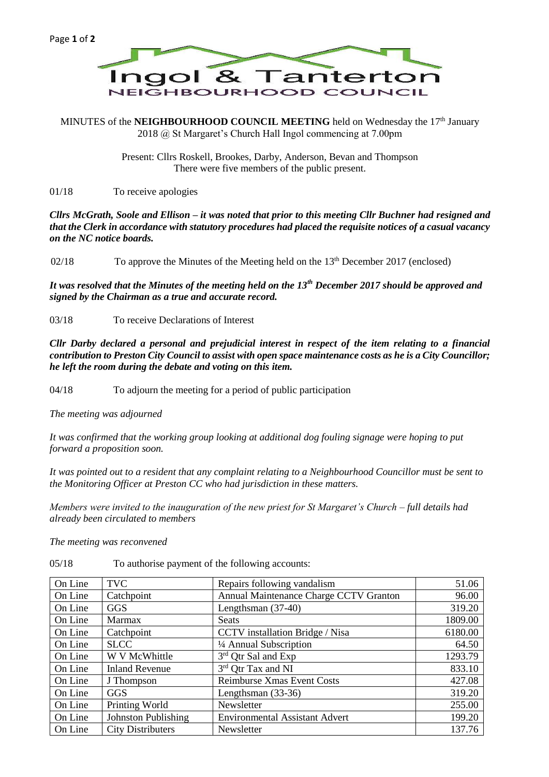MINUTES of the **NEIGHBOURHOOD COUNCIL MEETING** held on Wednesday the 17<sup>th</sup> January 2018 @ St Margaret's Church Hall Ingol commencing at 7.00pm

> Present: Cllrs Roskell, Brookes, Darby, Anderson, Bevan and Thompson There were five members of the public present.

01/18 To receive apologies

*Cllrs McGrath, Soole and Ellison – it was noted that prior to this meeting Cllr Buchner had resigned and that the Clerk in accordance with statutory procedures had placed the requisite notices of a casual vacancy on the NC notice boards.*

02/18 To approve the Minutes of the Meeting held on the  $13<sup>th</sup>$  December 2017 (enclosed)

*It was resolved that the Minutes of the meeting held on the 13th December 2017 should be approved and signed by the Chairman as a true and accurate record.*

03/18 To receive Declarations of Interest

*Cllr Darby declared a personal and prejudicial interest in respect of the item relating to a financial contribution to Preston City Council to assist with open space maintenance costs as he is a City Councillor; he left the room during the debate and voting on this item.*

04/18 To adjourn the meeting for a period of public participation

*The meeting was adjourned*

*It was confirmed that the working group looking at additional dog fouling signage were hoping to put forward a proposition soon.*

*It was pointed out to a resident that any complaint relating to a Neighbourhood Councillor must be sent to the Monitoring Officer at Preston CC who had jurisdiction in these matters.*

*Members were invited to the inauguration of the new priest for St Margaret's Church – full details had already been circulated to members*

*The meeting was reconvened*

| On Line | <b>TVC</b>                 | Repairs following vandalism            | 51.06   |
|---------|----------------------------|----------------------------------------|---------|
| On Line | Catchpoint                 | Annual Maintenance Charge CCTV Granton | 96.00   |
| On Line | GGS                        | Lengthsman $(37-40)$                   | 319.20  |
| On Line | <b>Marmax</b>              | <b>Seats</b>                           | 1809.00 |
| On Line | Catchpoint                 | CCTV installation Bridge / Nisa        | 6180.00 |
| On Line | <b>SLCC</b>                | 1/4 Annual Subscription                | 64.50   |
| On Line | W V McWhittle              | 3rd Qtr Sal and Exp                    | 1293.79 |
| On Line | <b>Inland Revenue</b>      | 3rd Qtr Tax and NI                     | 833.10  |
| On Line | J Thompson                 | <b>Reimburse Xmas Event Costs</b>      | 427.08  |
| On Line | <b>GGS</b>                 | Lengthsman $(33-36)$                   | 319.20  |
| On Line | Printing World             | Newsletter                             | 255.00  |
| On Line | <b>Johnston Publishing</b> | <b>Environmental Assistant Advert</b>  | 199.20  |
| On Line | <b>City Distributers</b>   | Newsletter                             | 137.76  |

05/18 To authorise payment of the following accounts: